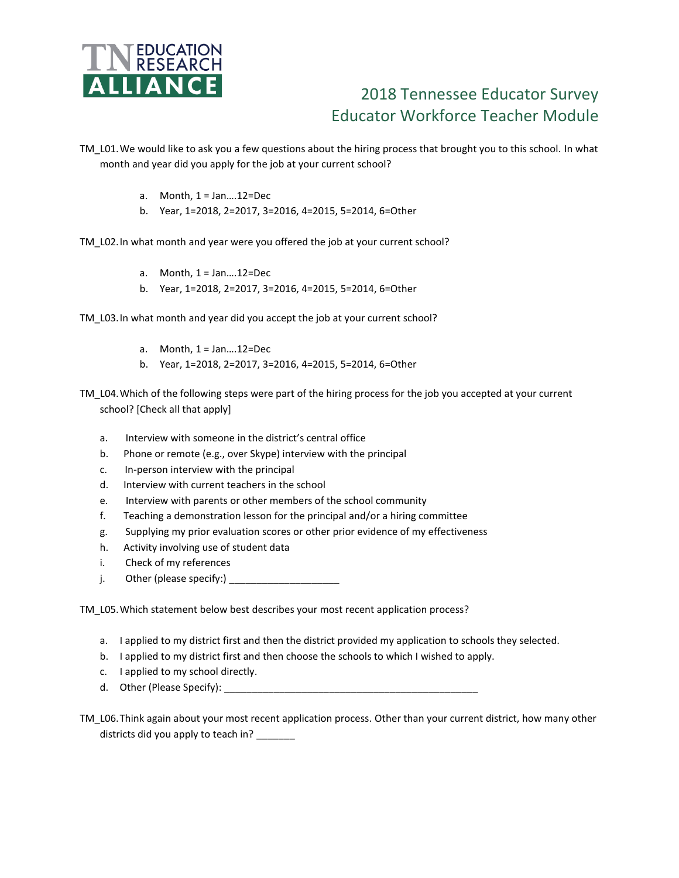

## 2018 Tennessee Educator Survey Educator Workforce Teacher Module

TM\_L01.We would like to ask you a few questions about the hiring process that brought you to this school. In what month and year did you apply for the job at your current school?

- a. Month,  $1 = Jan....12 = Dec$
- b. Year, 1=2018, 2=2017, 3=2016, 4=2015, 5=2014, 6=Other

TM\_L02. In what month and year were you offered the job at your current school?

- a. Month,  $1 = Jan....12 = Dec$
- b. Year, 1=2018, 2=2017, 3=2016, 4=2015, 5=2014, 6=Other
- TM\_L03.In what month and year did you accept the job at your current school?
	- a. Month,  $1 = Jan....12 = Dec$
	- b. Year, 1=2018, 2=2017, 3=2016, 4=2015, 5=2014, 6=Other

TM\_L04.Which of the following steps were part of the hiring process for the job you accepted at your current school? [Check all that apply]

- a. Interview with someone in the district's central office
- b. Phone or remote (e.g., over Skype) interview with the principal
- c. In-person interview with the principal
- d. Interview with current teachers in the school
- e. Interview with parents or other members of the school community
- f. Teaching a demonstration lesson for the principal and/or a hiring committee
- g. Supplying my prior evaluation scores or other prior evidence of my effectiveness
- h. Activity involving use of student data
- i. Check of my references
- j. Other (please specify:)  $\frac{1}{2}$

TM\_L05.Which statement below best describes your most recent application process?

- a. I applied to my district first and then the district provided my application to schools they selected.
- b. I applied to my district first and then choose the schools to which I wished to apply.
- c. I applied to my school directly.
- d. Other (Please Specify): \_\_\_\_\_\_

TM\_L06.Think again about your most recent application process. Other than your current district, how many other districts did you apply to teach in?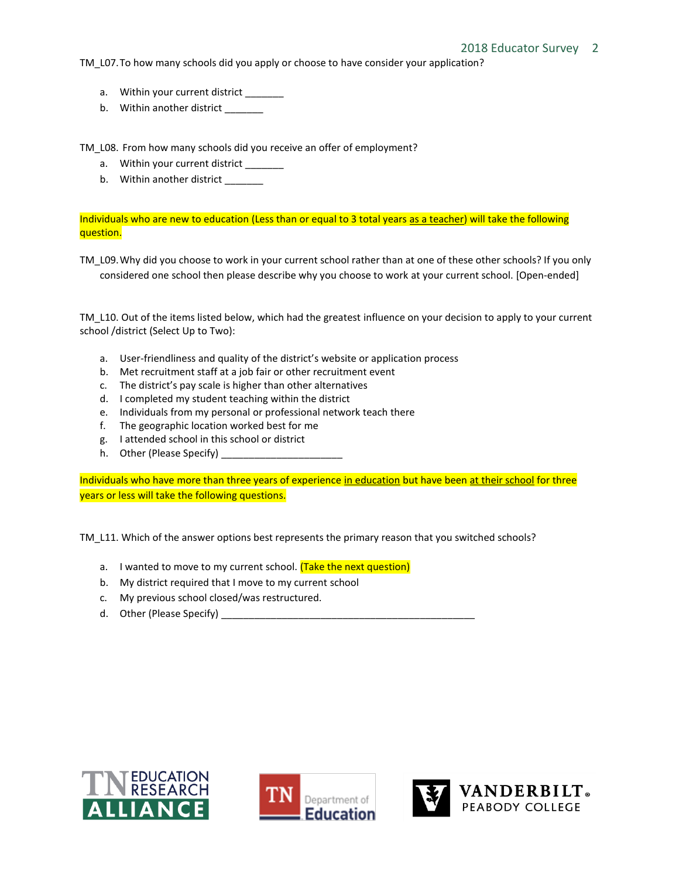TM L07. To how many schools did you apply or choose to have consider your application?

- a. Within your current district \_\_\_\_\_\_
- b. Within another district \_\_\_\_\_\_\_

TM\_L08. From how many schools did you receive an offer of employment?

- a. Within your current district
- b. Within another district \_\_\_\_\_\_\_

Individuals who are new to education (Less than or equal to 3 total years as a teacher) will take the following question.

TM\_L09.Why did you choose to work in your current school rather than at one of these other schools? If you only considered one school then please describe why you choose to work at your current school. [Open-ended]

TM\_L10. Out of the items listed below, which had the greatest influence on your decision to apply to your current school /district (Select Up to Two):

- a. User-friendliness and quality of the district's website or application process
- b. Met recruitment staff at a job fair or other recruitment event
- c. The district's pay scale is higher than other alternatives
- d. I completed my student teaching within the district
- e. Individuals from my personal or professional network teach there
- f. The geographic location worked best for me
- g. I attended school in this school or district
- h. Other (Please Specify)

Individuals who have more than three years of experience in education but have been at their school for three years or less will take the following questions.

TM L11. Which of the answer options best represents the primary reason that you switched schools?

- a. I wanted to move to my current school. (Take the next question)
- b. My district required that I move to my current school
- c. My previous school closed/was restructured.
- d. Other (Please Specify)





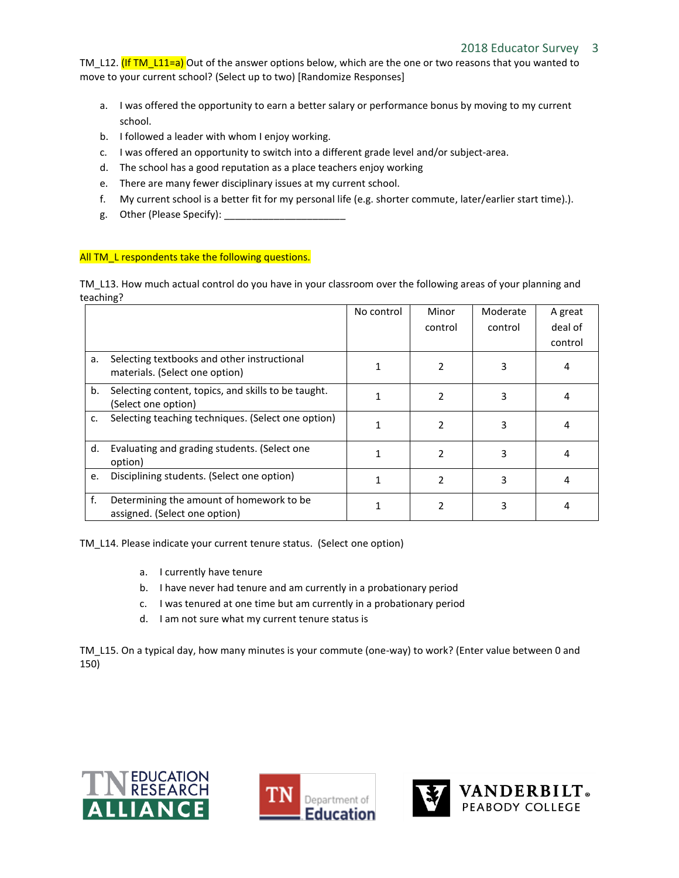TM\_L12. (If TM\_L11=a) Out of the answer options below, which are the one or two reasons that you wanted to move to your current school? (Select up to two) [Randomize Responses]

- a. I was offered the opportunity to earn a better salary or performance bonus by moving to my current school.
- b. I followed a leader with whom I enjoy working.
- c. I was offered an opportunity to switch into a different grade level and/or subject-area.
- d. The school has a good reputation as a place teachers enjoy working
- e. There are many fewer disciplinary issues at my current school.
- f. My current school is a better fit for my personal life (e.g. shorter commute, later/earlier start time).).
- g. Other (Please Specify): \_\_\_\_\_\_\_\_\_

## All TM L respondents take the following questions.

TM\_L13. How much actual control do you have in your classroom over the following areas of your planning and teaching?

|    |                                                                               | No control | Minor<br>control | Moderate<br>control | A great<br>deal of |
|----|-------------------------------------------------------------------------------|------------|------------------|---------------------|--------------------|
|    |                                                                               |            |                  |                     | control            |
| a. | Selecting textbooks and other instructional<br>materials. (Select one option) |            |                  | 3                   | 4                  |
| b. | Selecting content, topics, and skills to be taught.<br>(Select one option)    |            |                  | 3                   | 4                  |
| c. | Selecting teaching techniques. (Select one option)                            | 1          | 2                | 3                   |                    |
| d. | Evaluating and grading students. (Select one<br>option)                       | 1          | $\mathcal{P}$    | 3                   | 4                  |
| e. | Disciplining students. (Select one option)                                    |            | $\mathfrak{p}$   | 3                   | 4                  |
| f. | Determining the amount of homework to be<br>assigned. (Select one option)     |            |                  | 3                   | 4                  |

TM\_L14. Please indicate your current tenure status. (Select one option)

- a. I currently have tenure
- b. I have never had tenure and am currently in a probationary period
- c. I was tenured at one time but am currently in a probationary period
- d. I am not sure what my current tenure status is

TM\_L15. On a typical day, how many minutes is your commute (one-way) to work? (Enter value between 0 and 150)